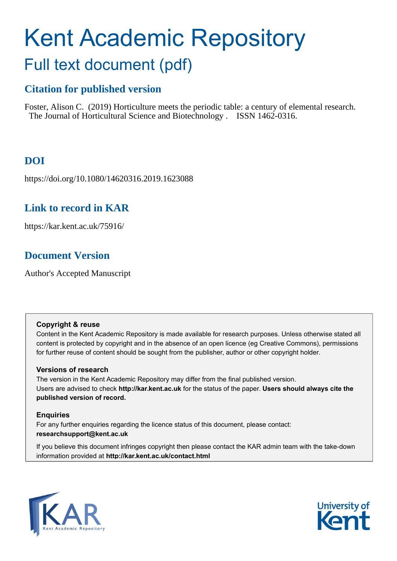# Kent Academic Repository Full text document (pdf)

# **Citation for published version**

Foster, Alison C. (2019) Horticulture meets the periodic table: a century of elemental research. The Journal of Horticultural Science and Biotechnology . ISSN 1462-0316.

# **DOI**

https://doi.org/10.1080/14620316.2019.1623088

## **Link to record in KAR**

https://kar.kent.ac.uk/75916/

# **Document Version**

Author's Accepted Manuscript

### **Copyright & reuse**

Content in the Kent Academic Repository is made available for research purposes. Unless otherwise stated all content is protected by copyright and in the absence of an open licence (eg Creative Commons), permissions for further reuse of content should be sought from the publisher, author or other copyright holder.

## **Versions of research**

The version in the Kent Academic Repository may differ from the final published version. Users are advised to check **http://kar.kent.ac.uk** for the status of the paper. **Users should always cite the published version of record.**

## **Enquiries**

For any further enquiries regarding the licence status of this document, please contact: **researchsupport@kent.ac.uk**

If you believe this document infringes copyright then please contact the KAR admin team with the take-down information provided at **http://kar.kent.ac.uk/contact.html**



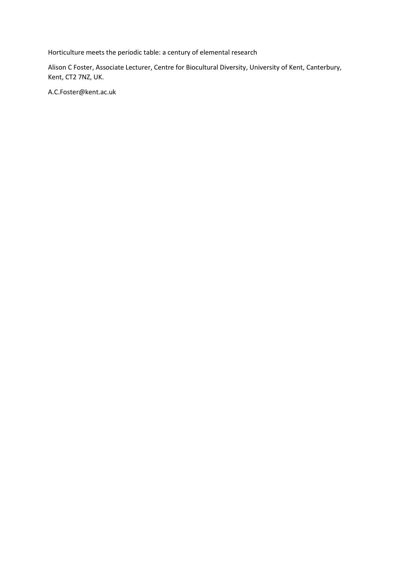Horticulture meets the periodic table: a century of elemental research

Alison C Foster, Associate Lecturer, Centre for Biocultural Diversity, University of Kent, Canterbury, Kent, CT2 7NZ, UK.

[A.C.Foster@kent.ac.uk](mailto:A.C.Foster@kent.ac.uk)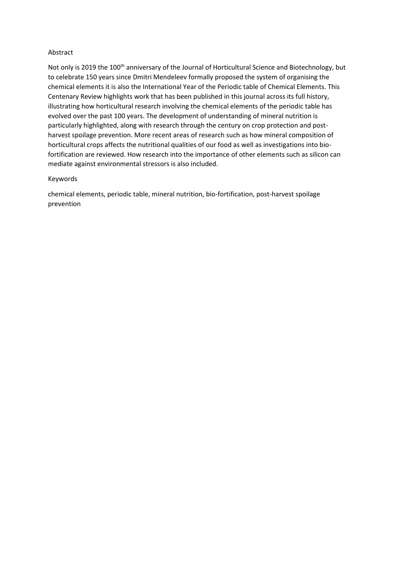#### Abstract

Not only is 2019 the 100<sup>th</sup> anniversary of the Journal of Horticultural Science and Biotechnology, but to celebrate 150 years since Dmitri Mendeleev formally proposed the system of organising the chemical elements it is also the International Year of the Periodic table of Chemical Elements. This Centenary Review highlights work that has been published in this journal across its full history, illustrating how horticultural research involving the chemical elements of the periodic table has evolved over the past 100 years. The development of understanding of mineral nutrition is particularly highlighted, along with research through the century on crop protection and postharvest spoilage prevention. More recent areas of research such as how mineral composition of horticultural crops affects the nutritional qualities of our food as well as investigations into biofortification are reviewed. How research into the importance of other elements such as silicon can mediate against environmental stressors is also included.

#### Keywords

chemical elements, periodic table, mineral nutrition, bio-fortification, post-harvest spoilage prevention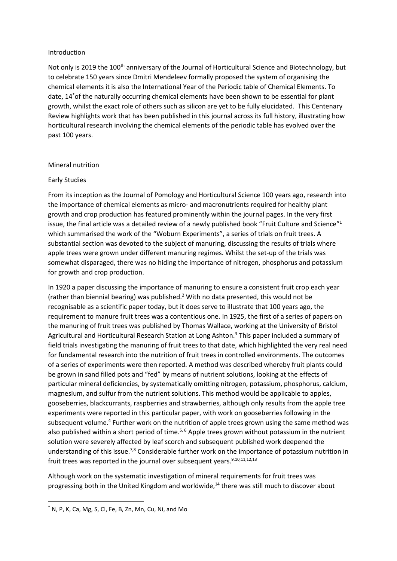#### Introduction

Not only is 2019 the 100<sup>th</sup> anniversary of the Journal of Horticultural Science and Biotechnology, but to celebrate 150 years since Dmitri Mendeleev formally proposed the system of organising the chemical elements it is also the International Year of the Periodic table of Chemical Elements. To date, 14\*of the naturally occurring chemical elements have been shown to be essential for plant growth, whilst the exact role of others such as silicon are yet to be fully elucidated. This Centenary Review highlights work that has been published in this journal across its full history, illustrating how horticultural research involving the chemical elements of the periodic table has evolved over the past 100 years.

#### Mineral nutrition

#### Early Studies

From its inception as the Journal of Pomology and Horticultural Science 100 years ago, research into the importance of chemical elements as micro- and macronutrients required for healthy plant growth and crop production has featured prominently within the journal pages. In the very first issue, the final article was a detailed review of a newly published book "Fruit Culture and Science"<sup>1</sup> which summarised the work of the "Woburn Experiments", a series of trials on fruit trees. A substantial section was devoted to the subject of manuring, discussing the results of trials where apple trees were grown under different manuring regimes. Whilst the set-up of the trials was somewhat disparaged, there was no hiding the importance of nitrogen, phosphorus and potassium for growth and crop production.

In 1920 a paper discussing the importance of manuring to ensure a consistent fruit crop each year (rather than biennial bearing) was published.<sup>2</sup> With no data presented, this would not be recognisable as a scientific paper today, but it does serve to illustrate that 100 years ago, the requirement to manure fruit trees was a contentious one. In 1925, the first of a series of papers on the manuring of fruit trees was published by Thomas Wallace, working at the University of Bristol Agricultural and Horticultural Research Station at Long Ashton.<sup>3</sup> This paper included a summary of field trials investigating the manuring of fruit trees to that date, which highlighted the very real need for fundamental research into the nutrition of fruit trees in controlled environments. The outcomes of a series of experiments were then reported. A method was described whereby fruit plants could be grown in sand filled pots and "fed" by means of nutrient solutions, looking at the effects of particular mineral deficiencies, by systematically omitting nitrogen, potassium, phosphorus, calcium, magnesium, and sulfur from the nutrient solutions. This method would be applicable to apples, gooseberries, blackcurrants, raspberries and strawberries, although only results from the apple tree experiments were reported in this particular paper, with work on gooseberries following in the subsequent volume.<sup>4</sup> Further work on the nutrition of apple trees grown using the same method was also published within a short period of time.<sup>5, 6</sup> Apple trees grown without potassium in the nutrient solution were severely affected by leaf scorch and subsequent published work deepened the understanding of this issue.<sup>7,8</sup> Considerable further work on the importance of potassium nutrition in fruit trees was reported in the journal over subsequent years. $9,10,11,12,13$ 

Although work on the systematic investigation of mineral requirements for fruit trees was progressing both in the United Kingdom and worldwide,<sup>14</sup> there was still much to discover about

**.** 

<sup>\*</sup> N, P, K, Ca, Mg, S, Cl, Fe, B, Zn, Mn, Cu, Ni, and Mo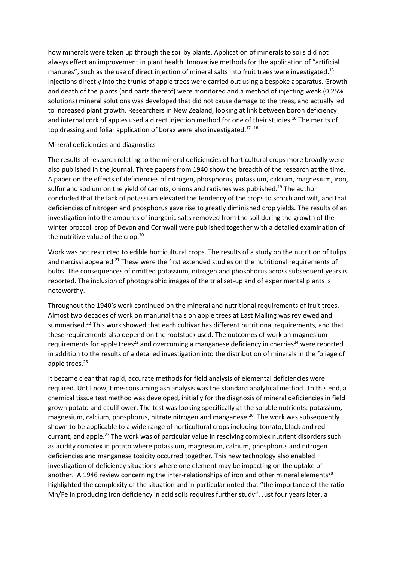how minerals were taken up through the soil by plants. Application of minerals to soils did not always effect an improvement in plant health. Innovative methods for the application of "artificial manures", such as the use of direct injection of mineral salts into fruit trees were investigated.<sup>15</sup> Injections directly into the trunks of apple trees were carried out using a bespoke apparatus. Growth and death of the plants (and parts thereof) were monitored and a method of injecting weak (0.25% solutions) mineral solutions was developed that did not cause damage to the trees, and actually led to increased plant growth. Researchers in New Zealand, looking at link between boron deficiency and internal cork of apples used a direct injection method for one of their studies.<sup>16</sup> The merits of top dressing and foliar application of borax were also investigated.<sup>17, 18</sup>

#### Mineral deficiencies and diagnostics

The results of research relating to the mineral deficiencies of horticultural crops more broadly were also published in the journal. Three papers from 1940 show the breadth of the research at the time. A paper on the effects of deficiencies of nitrogen, phosphorus, potassium, calcium, magnesium, iron, sulfur and sodium on the yield of carrots, onions and radishes was published.<sup>19</sup> The author concluded that the lack of potassium elevated the tendency of the crops to scorch and wilt, and that deficiencies of nitrogen and phosphorus gave rise to greatly diminished crop yields. The results of an investigation into the amounts of inorganic salts removed from the soil during the growth of the winter broccoli crop of Devon and Cornwall were published together with a detailed examination of the nutritive value of the crop.<sup>20</sup>

Work was not restricted to edible horticultural crops. The results of a study on the nutrition of tulips and narcissi appeared.<sup>21</sup> These were the first extended studies on the nutritional requirements of bulbs. The consequences of omitted potassium, nitrogen and phosphorus across subsequent years is reported. The inclusion of photographic images of the trial set-up and of experimental plants is noteworthy.

Throughout the 1940's work continued on the mineral and nutritional requirements of fruit trees. Almost two decades of work on manurial trials on apple trees at East Malling was reviewed and summarised.<sup>22</sup> This work showed that each cultivar has different nutritional requirements, and that these requirements also depend on the rootstock used. The outcomes of work on magnesium requirements for apple trees<sup>23</sup> and overcoming a manganese deficiency in cherries<sup>24</sup> were reported in addition to the results of a detailed investigation into the distribution of minerals in the foliage of apple trees. 25

It became clear that rapid, accurate methods for field analysis of elemental deficiencies were required. Until now, time-consuming ash analysis was the standard analytical method. To this end, a chemical tissue test method was developed, initially for the diagnosis of mineral deficiencies in field grown potato and cauliflower. The test was looking specifically at the soluble nutrients: potassium, magnesium, calcium, phosphorus, nitrate nitrogen and manganese.<sup>26</sup> The work was subsequently shown to be applicable to a wide range of horticultural crops including tomato, black and red currant, and apple.<sup>27</sup> The work was of particular value in resolving complex nutrient disorders such as acidity complex in potato where potassium, magnesium, calcium, phosphorus and nitrogen deficiencies and manganese toxicity occurred together. This new technology also enabled investigation of deficiency situations where one element may be impacting on the uptake of another. A 1946 review concerning the inter-relationships of iron and other mineral elements<sup>28</sup> highlighted the complexity of the situation and in particular noted that "the importance of the ratio Mn/Fe in producing iron deficiency in acid soils requires further study". Just four years later, a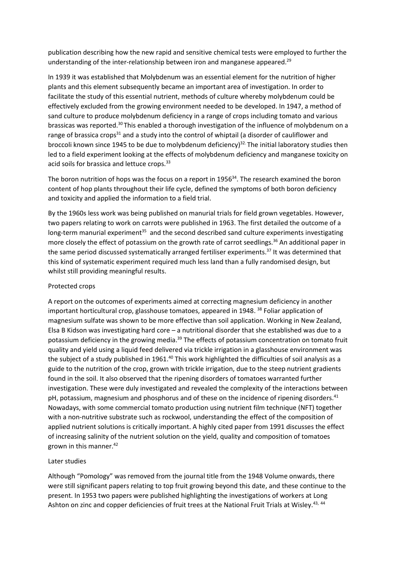publication describing how the new rapid and sensitive chemical tests were employed to further the understanding of the inter-relationship between iron and manganese appeared.<sup>29</sup>

In 1939 it was established that Molybdenum was an essential element for the nutrition of higher plants and this element subsequently became an important area of investigation. In order to facilitate the study of this essential nutrient, methods of culture whereby molybdenum could be effectively excluded from the growing environment needed to be developed. In 1947, a method of sand culture to produce molybdenum deficiency in a range of crops including tomato and various brassicas was reported.<sup>30</sup> This enabled a thorough investigation of the influence of molybdenum on a range of brassica crops<sup>31</sup> and a study into the control of whiptail (a disorder of cauliflower and broccoli known since 1945 to be due to molybdenum deficiency) 32. The initial laboratory studies then led to a field experiment looking at the effects of molybdenum deficiency and manganese toxicity on acid soils for brassica and lettuce crops.<sup>33</sup>

The boron nutrition of hops was the focus on a report in  $1956<sup>34</sup>$ . The research examined the boron content of hop plants throughout their life cycle, defined the symptoms of both boron deficiency and toxicity and applied the information to a field trial.

By the 1960s less work was being published on manurial trials for field grown vegetables. However, two papers relating to work on carrots were published in 1963. The first detailed the outcome of a long-term manurial experiment<sup>35</sup> and the second described sand culture experiments investigating more closely the effect of potassium on the growth rate of carrot seedlings.<sup>36</sup> An additional paper in the same period discussed systematically arranged fertiliser experiments.<sup>37</sup> It was determined that this kind of systematic experiment required much less land than a fully randomised design, but whilst still providing meaningful results.

#### Protected crops

A report on the outcomes of experiments aimed at correcting magnesium deficiency in another important horticultural crop, glasshouse tomatoes, appeared in 1948. <sup>38</sup> Foliar application of magnesium sulfate was shown to be more effective than soil application. Working in New Zealand, Elsa B Kidson was investigating hard core – a nutritional disorder that she established was due to a potassium deficiency in the growing media.<sup>39</sup> The effects of potassium concentration on tomato fruit quality and yield using a liquid feed delivered via trickle irrigation in a glasshouse environment was the subject of a study published in 1961.<sup>40</sup> This work highlighted the difficulties of soil analysis as a guide to the nutrition of the crop, grown with trickle irrigation, due to the steep nutrient gradients found in the soil. It also observed that the ripening disorders of tomatoes warranted further investigation. These were duly investigated and revealed the complexity of the interactions between pH, potassium, magnesium and phosphorus and of these on the incidence of ripening disorders.<sup>41</sup> Nowadays, with some commercial tomato production using nutrient film technique (NFT) together with a non-nutritive substrate such as rockwool, understanding the effect of the composition of applied nutrient solutions is critically important. A highly cited paper from 1991 discusses the effect of increasing salinity of the nutrient solution on the yield, quality and composition of tomatoes grown in this manner. 42

#### Later studies

Although "Pomology" was removed from the journal title from the 1948 Volume onwards, there were still significant papers relating to top fruit growing beyond this date, and these continue to the present. In 1953 two papers were published highlighting the investigations of workers at Long Ashton on zinc and copper deficiencies of fruit trees at the National Fruit Trials at Wisley.<sup>43, 44</sup>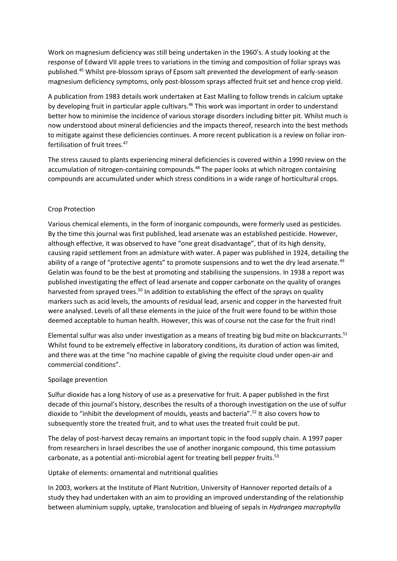Work on magnesium deficiency was still being undertaken in the 1960's. A study looking at the response of Edward VII apple trees to variations in the timing and composition of foliar sprays was published.<sup>45</sup> Whilst pre-blossom sprays of Epsom salt prevented the development of early-season magnesium deficiency symptoms, only post-blossom sprays affected fruit set and hence crop yield.

A publication from 1983 details work undertaken at East Malling to follow trends in calcium uptake by developing fruit in particular apple cultivars.<sup>46</sup> This work was important in order to understand better how to minimise the incidence of various storage disorders including bitter pit. Whilst much is now understood about mineral deficiencies and the impacts thereof, research into the best methods to mitigate against these deficiencies continues. A more recent publication is a review on foliar ironfertilisation of fruit trees.<sup>47</sup>

The stress caused to plants experiencing mineral deficiencies is covered within a 1990 review on the accumulation of nitrogen-containing compounds.<sup>48</sup> The paper looks at which nitrogen containing compounds are accumulated under which stress conditions in a wide range of horticultural crops.

#### Crop Protection

Various chemical elements, in the form of inorganic compounds, were formerly used as pesticides. By the time this journal was first published, lead arsenate was an established pesticide. However, although effective, it was observed to have "one great disadvantage", that of its high density, causing rapid settlement from an admixture with water. A paper was published in 1924, detailing the ability of a range of "protective agents" to promote suspensions and to wet the dry lead arsenate.<sup>49</sup> Gelatin was found to be the best at promoting and stabilising the suspensions. In 1938 a report was published investigating the effect of lead arsenate and copper carbonate on the quality of oranges harvested from sprayed trees.<sup>50</sup> In addition to establishing the effect of the sprays on quality markers such as acid levels, the amounts of residual lead, arsenic and copper in the harvested fruit were analysed. Levels of all these elements in the juice of the fruit were found to be within those deemed acceptable to human health. However, this was of course not the case for the fruit rind!

Elemental sulfur was also under investigation as a means of treating big bud mite on blackcurrants.<sup>51</sup> Whilst found to be extremely effective in laboratory conditions, its duration of action was limited, and there was at the time "no machine capable of giving the requisite cloud under open-air and commercial conditions".

#### Spoilage prevention

Sulfur dioxide has a long history of use as a preservative for fruit. A paper published in the first decade of this journal's history, describes the results of a thorough investigation on the use of sulfur dioxide to "inhibit the development of moulds, yeasts and bacteria".<sup>52</sup> It also covers how to subsequently store the treated fruit, and to what uses the treated fruit could be put.

The delay of post-harvest decay remains an important topic in the food supply chain. A 1997 paper from researchers in Israel describes the use of another inorganic compound, this time potassium carbonate, as a potential anti-microbial agent for treating bell pepper fruits.<sup>53</sup>

Uptake of elements: ornamental and nutritional qualities

In 2003, workers at the Institute of Plant Nutrition, University of Hannover reported details of a study they had undertaken with an aim to providing an improved understanding of the relationship between aluminium supply, uptake, translocation and blueing of sepals in *Hydrangea macrophylla*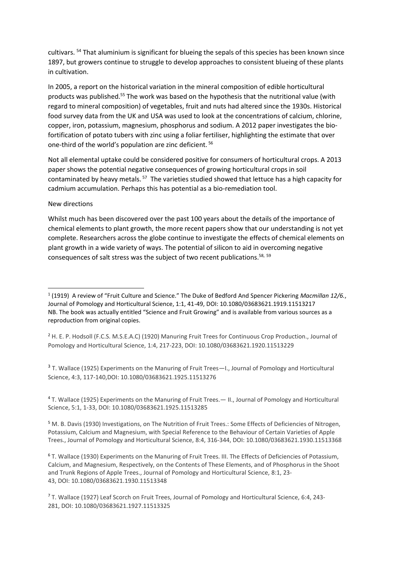cultivars. <sup>54</sup> That aluminium is significant for blueing the sepals of this species has been known since 1897, but growers continue to struggle to develop approaches to consistent blueing of these plants in cultivation.

In 2005, a report on the historical variation in the mineral composition of edible horticultural products was published.<sup>55</sup> The work was based on the hypothesis that the nutritional value (with regard to mineral composition) of vegetables, fruit and nuts had altered since the 1930s. Historical food survey data from the UK and USA was used to look at the concentrations of calcium, chlorine, copper, iron, potassium, magnesium, phosphorus and sodium. A 2012 paper investigates the biofortification of potato tubers with zinc using a foliar fertiliser, highlighting the estimate that over one-third of the world's population are zinc deficient. <sup>56</sup>

Not all elemental uptake could be considered positive for consumers of horticultural crops. A 2013 paper shows the potential negative consequences of growing horticultural crops in soil contaminated by heavy metals. <sup>57</sup> The varieties studied showed that lettuce has a high capacity for cadmium accumulation. Perhaps this has potential as a bio-remediation tool.

#### New directions

 $\overline{a}$ 

Whilst much has been discovered over the past 100 years about the details of the importance of chemical elements to plant growth, the more recent papers show that our understanding is not yet complete. Researchers across the globe continue to investigate the effects of chemical elements on plant growth in a wide variety of ways. The potential of silicon to aid in overcoming negative consequences of salt stress was the subject of two recent publications.<sup>58, 59</sup>

<sup>3</sup> T. Wallace (1925) Experiments on the Manuring of Fruit Trees-I., Journal of Pomology and Horticultural Science, 4:3, 117-140,DOI: [10.1080/03683621.1925.11513276](https://doi.org/10.1080/03683621.1925.11513276)

<sup>4</sup> T. Wallace (1925) Experiments on the Manuring of Fruit Trees.— II., Journal of Pomology and Horticultural Science, 5:1, 1-33, DOI: [10.1080/03683621.1925.11513285](https://doi.org/10.1080/03683621.1925.11513285)

<sup>5</sup> M. B. Davis (1930) Investigations, on The Nutrition of Fruit Trees.: Some Effects of Deficiencies of Nitrogen, Potassium, Calcium and Magnesium, with Special Reference to the Behaviour of Certain Varieties of Apple Trees., Journal of Pomology and Horticultural Science, 8:4, 316-344, DOI: [10.1080/03683621.1930.11513368](https://doi.org/10.1080/03683621.1930.11513368)

<sup>6</sup> T. Wallace (1930) Experiments on the Manuring of Fruit Trees. III. The Effects of Deficiencies of Potassium, Calcium, and Magnesium, Respectively, on the Contents of These Elements, and of Phosphorus in the Shoot and Trunk Regions of Apple Trees., Journal of Pomology and Horticultural Science, 8:1, 23- 43, DOI: [10.1080/03683621.1930.11513348](https://doi.org/10.1080/03683621.1930.11513348)

<sup>1</sup> (1919) A review of "Fruit Culture and Science." The Duke of Bedford And Spencer Pickering *Macmillan 12/6.*, Journal of Pomology and Horticultural Science, 1:1, 41-49, DOI: [10.1080/03683621.1919.11513217](https://doi.org/10.1080/03683621.1919.11513217) NB. The book was actually entitled "Science and Fruit Growing" and is available from various sources as a reproduction from original copies.

<sup>2</sup> H. E. P. Hodsoll (F.C.S. M.S.E.A.C) (1920) Manuring Fruit Trees for Continuous Crop Production., Journal of Pomology and Horticultural Science, 1:4, 217-223, DOI: [10.1080/03683621.1920.11513229](https://doi.org/10.1080/03683621.1920.11513229)

<sup>7</sup> T. Wallace (1927) Leaf Scorch on Fruit Trees, Journal of Pomology and Horticultural Science, 6:4, 243- 281, DOI: [10.1080/03683621.1927.11513325](https://doi.org/10.1080/03683621.1927.11513325)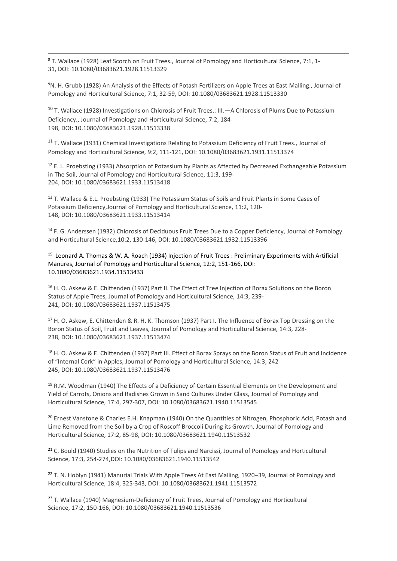<sup>8</sup> T. Wallace (1928) Leaf Scorch on Fruit Trees., Journal of Pomology and Horticultural Science, 7:1, 1- 31, DOI: [10.1080/03683621.1928.11513329](https://doi.org/10.1080/03683621.1928.11513329)

**.** 

<sup>9</sup>N. H. Grubb (1928) An Analysis of the Effects of Potash Fertilizers on Apple Trees at East Malling., Journal of Pomology and Horticultural Science, 7:1, 32-59, DOI: [10.1080/03683621.1928.11513330](https://doi.org/10.1080/03683621.1928.11513330)

<sup>10</sup> T. Wallace (1928) Investigations on Chlorosis of Fruit Trees.: III.—A Chlorosis of Plums Due to Potassium Deficiency., Journal of Pomology and Horticultural Science, 7:2, 184- 198, DOI: [10.1080/03683621.1928.11513338](https://doi.org/10.1080/03683621.1928.11513338)

<sup>11</sup> T. Wallace (1931) Chemical Investigations Relating to Potassium Deficiency of Fruit Trees., Journal of Pomology and Horticultural Science, 9:2, 111-121, DOI: [10.1080/03683621.1931.11513374](https://doi.org/10.1080/03683621.1931.11513374)

<sup>12</sup> E. L. Proebsting (1933) Absorption of Potassium by Plants as Affected by Decreased Exchangeable Potassium in The Soil, Journal of Pomology and Horticultural Science, 11:3, 199- 204, DOI: [10.1080/03683621.1933.11513418](https://doi.org/10.1080/03683621.1933.11513418)

<sup>13</sup> T. Wallace & E.L. Proebsting (1933) The Potassium Status of Soils and Fruit Plants in Some Cases of Potassium Deficiency,Journal of Pomology and Horticultural Science, 11:2, 120- 148, DOI: [10.1080/03683621.1933.11513414](https://doi.org/10.1080/03683621.1933.11513414)

<sup>14</sup> F. G. Anderssen (1932) Chlorosis of Deciduous Fruit Trees Due to a Copper Deficiency, Journal of Pomology and Horticultural Science,10:2, 130-146, DOI: [10.1080/03683621.1932.11513396](https://doi.org/10.1080/03683621.1932.11513396)

<sup>15</sup> Leonard A. Thomas & W. A. Roach (1934) Injection of Fruit Trees : Preliminary Experiments with Artificial Manures, Journal of Pomology and Horticultural Science, 12:2, 151-166, DOI: 10.1080/03683621.1934.11513433

<sup>16</sup> H. O. Askew & E. Chittenden (1937) Part II. The Effect of Tree Injection of Borax Solutions on the Boron Status of Apple Trees, Journal of Pomology and Horticultural Science, 14:3, 239- 241, DOI: [10.1080/03683621.1937.11513475](https://doi.org/10.1080/03683621.1937.11513475)

<sup>17</sup> H. O. Askew, E. Chittenden & R. H. K. Thomson (1937) Part I. The Influence of Borax Top Dressing on the Boron Status of Soil, Fruit and Leaves, Journal of Pomology and Horticultural Science, 14:3, 228- 238, DOI: [10.1080/03683621.1937.11513474](https://doi.org/10.1080/03683621.1937.11513474)

18 H. O. Askew & E. Chittenden (1937) Part III. Effect of Borax Sprays on the Boron Status of Fruit and Incidence of "Internal Cork" in Apples, Journal of Pomology and Horticultural Science, 14:3, 242- 245, DOI: [10.1080/03683621.1937.11513476](https://doi.org/10.1080/03683621.1937.11513476)

<sup>19</sup> R.M. Woodman (1940) The Effects of a Deficiency of Certain Essential Elements on the Development and Yield of Carrots, Onions and Radishes Grown in Sand Cultures Under Glass, Journal of Pomology and Horticultural Science, 17:4, 297-307, DOI: [10.1080/03683621.1940.11513545](https://doi.org/10.1080/03683621.1940.11513545)

<sup>20</sup> Ernest Vanstone & Charles E.H. Knapman (1940) On the Quantities of Nitrogen, Phosphoric Acid, Potash and Lime Removed from the Soil by a Crop of Roscoff Broccoli During its Growth, Journal of Pomology and Horticultural Science, 17:2, 85-98, DOI: [10.1080/03683621.1940.11513532](https://doi.org/10.1080/03683621.1940.11513532)

<sup>21</sup> C. Bould (1940) Studies on the Nutrition of Tulips and Narcissi, Journal of Pomology and Horticultural Science, 17:3, 254-274,DOI: [10.1080/03683621.1940.11513542](https://doi.org/10.1080/03683621.1940.11513542)

<sup>22</sup> T. N. Hoblyn (1941) Manurial Trials With Apple Trees At East Malling, 1920–39, Journal of Pomology and Horticultural Science, 18:4, 325-343, DOI: [10.1080/03683621.1941.11513572](https://doi.org/10.1080/03683621.1941.11513572)

<sup>23</sup> T. Wallace (1940) Magnesium-Deficiency of Fruit Trees, Journal of Pomology and Horticultural Science, 17:2, 150-166, DOI: [10.1080/03683621.1940.11513536](https://doi.org/10.1080/03683621.1940.11513536)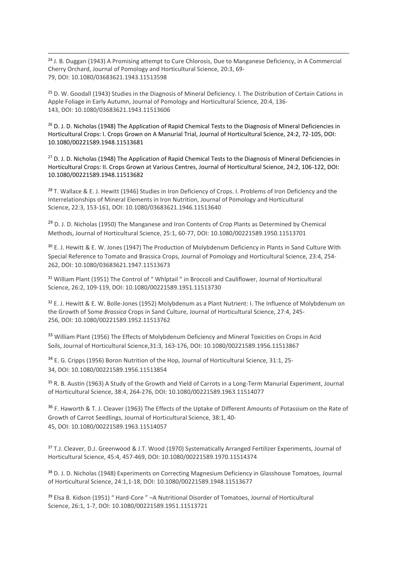<sup>24</sup> J. B. Duggan (1943) A Promising attempt to Cure Chlorosis, Due to Manganese Deficiency, in A Commercial Cherry Orchard, Journal of Pomology and Horticultural Science, 20:3, 69- 79, DOI: [10.1080/03683621.1943.11513598](https://doi.org/10.1080/03683621.1943.11513598)

**.** 

<sup>25</sup> D. W. Goodall (1943) Studies in the Diagnosis of Mineral Deficiency. I. The Distribution of Certain Cations in Apple Foliage in Early Autumn, Journal of Pomology and Horticultural Science, 20:4, 136- 143, DOI: [10.1080/03683621.1943.11513606](https://doi.org/10.1080/03683621.1943.11513606)

<sup>26</sup> D. J. D. Nicholas (1948) The Application of Rapid Chemical Tests to the Diagnosis of Mineral Deficiencies in Horticultural Crops: I. Crops Grown on A Manurial Trial, Journal of Horticultural Science, 24:2, 72-105, DOI: 10.1080/00221589.1948.11513681

<sup>27</sup> D. J. D. Nicholas (1948) The Application of Rapid Chemical Tests to the Diagnosis of Mineral Deficiencies in Horticultural Crops: II. Crops Grown at Various Centres, Journal of Horticultural Science, 24:2, 106-122, DOI: 10.1080/00221589.1948.11513682

<sup>28</sup> T. Wallace & E. J. Hewitt (1946) Studies in Iron Deficiency of Crops. I. Problems of Iron Deficiency and the Interrelationships of Mineral Elements in Iron Nutrition, Journal of Pomology and Horticultural Science, 22:3, 153-161, DOI: [10.1080/03683621.1946.11513640](https://doi.org/10.1080/03683621.1946.11513640)

<sup>29</sup> D. J. D. Nicholas (1950) The Manganese and Iron Contents of Crop Plants as Determined by Chemical Methods, Journal of Horticultural Science, 25:1, 60-77, DOI: [10.1080/00221589.1950.11513701](https://doi.org/10.1080/00221589.1950.11513701)

<sup>30</sup> E. J. Hewitt & E. W. Jones (1947) The Production of Molybdenum Deficiency in Plants in Sand Culture With Special Reference to Tomato and Brassica Crops, Journal of Pomology and Horticultural Science, 23:4, 254- 262, DOI: [10.1080/03683621.1947.11513673](https://doi.org/10.1080/03683621.1947.11513673)

<sup>31</sup> William Plant (1951) The Control of " Whlptail " in Broccoli and Cauliflower, Journal of Horticultural Science, 26:2, 109-119, DOI: [10.1080/00221589.1951.11513730](https://doi.org/10.1080/00221589.1951.11513730)

<sup>32</sup> E. J. Hewitt & E. W. Bolle-Jones (1952) Molybdenum as a Plant Nutrient: I. The Influence of Molybdenum on the Growth of Some *Brassica* Crops in Sand Culture, Journal of Horticultural Science, 27:4, 245- 256, DOI: [10.1080/00221589.1952.11513762](https://doi.org/10.1080/00221589.1952.11513762)

33 William Plant (1956) The Effects of Molybdenum Deficiency and Mineral Toxicities on Crops in Acid Soils, Journal of Horticultural Science,31:3, 163-176, DOI: [10.1080/00221589.1956.11513867](https://doi.org/10.1080/00221589.1956.11513867)

<sup>34</sup> E. G. Cripps (1956) Boron Nutrition of the Hop, Journal of Horticultural Science, 31:1, 25-34, DOI: [10.1080/00221589.1956.11513854](https://doi.org/10.1080/00221589.1956.11513854)

<sup>35</sup> R. B. Austin (1963) A Study of the Growth and Yield of Carrots in a Long-Term Manurial Experiment, Journal of Horticultural Science, 38:4, 264-276, DOI: [10.1080/00221589.1963.11514077](https://doi.org/10.1080/00221589.1963.11514077)

<sup>36</sup> F. Haworth & T. J. Cleaver (1963) The Effects of the Uptake of Different Amounts of Potassium on the Rate of Growth of Carrot Seedlings, Journal of Horticultural Science, 38:1, 40- 45, DOI: [10.1080/00221589.1963.11514057](https://doi.org/10.1080/00221589.1963.11514057)

<sup>37</sup> T.J. Cleaver, D.J. Greenwood & J.T. Wood (1970) Systematically Arranged Fertilizer Experiments, Journal of Horticultural Science, 45:4, 457-469, DOI: [10.1080/00221589.1970.11514374](https://doi.org/10.1080/00221589.1970.11514374)

38 D. J. D. Nicholas (1948) Experiments on Correcting Magnesium Deficiency in Glasshouse Tomatoes, Journal of Horticultural Science, 24:1,1-18, DOI: [10.1080/00221589.1948.11513677](https://doi.org/10.1080/00221589.1948.11513677)

<sup>39</sup> Elsa B. Kidson (1951) " Hard-Core " –A Nutritional Disorder of Tomatoes, Journal of Horticultural Science, 26:1, 1-7, DOI: [10.1080/00221589.1951.11513721](https://doi.org/10.1080/00221589.1951.11513721)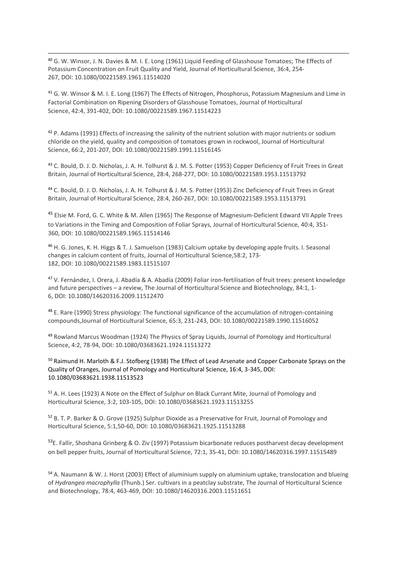<sup>40</sup> G. W. Winsor, J. N. Davies & M. I. E. Long (1961) Liquid Feeding of Glasshouse Tomatoes; The Effects of Potassium Concentration on Fruit Quality and Yield, Journal of Horticultural Science, 36:4, 254- 267, DOI: [10.1080/00221589.1961.11514020](https://doi.org/10.1080/00221589.1961.11514020)

**.** 

<sup>41</sup> G. W. Winsor & M. I. E. Long (1967) The Effects of Nitrogen, Phosphorus, Potassium Magnesium and Lime in Factorial Combination on Ripening Disorders of Glasshouse Tomatoes, Journal of Horticultural Science, 42:4, 391-402, DOI: [10.1080/00221589.1967.11514223](https://doi.org/10.1080/00221589.1967.11514223)

<sup>42</sup> P. Adams (1991) Effects of increasing the salinity of the nutrient solution with major nutrients or sodium chloride on the yield, quality and composition of tomatoes grown in rockwool, Journal of Horticultural Science, 66:2, 201-207, DOI: [10.1080/00221589.1991.11516145](https://doi.org/10.1080/00221589.1991.11516145)

<sup>43</sup> C. Bould, D. J. D. Nicholas, J. A. H. Tolhurst & J. M. S. Potter (1953) Copper Deficiency of Fruit Trees in Great Britain, Journal of Horticultural Science, 28:4, 268-277, DOI: [10.1080/00221589.1953.11513792](https://doi.org/10.1080/00221589.1953.11513792)

<sup>44</sup> C. Bould, D. J. D. Nicholas, J. A. H. Tolhurst & J. M. S. Potter (1953) Zinc Deficiency of Fruit Trees in Great Britain, Journal of Horticultural Science, 28:4, 260-267, DOI: [10.1080/00221589.1953.11513791](https://doi.org/10.1080/00221589.1953.11513791)

<sup>45</sup> Elsie M. Ford, G. C. White & M. Allen (1965) The Response of Magnesium-Deficient Edward VII Apple Trees to Variations in the Timing and Composition of Foliar Sprays, Journal of Horticultural Science, 40:4, 351- 360, DOI: [10.1080/00221589.1965.11514146](https://doi.org/10.1080/00221589.1965.11514146)

<sup>46</sup> H. G. Jones, K. H. Higgs & T. J. Samuelson (1983) Calcium uptake by developing apple fruits. I. Seasonal changes in calcium content of fruits, Journal of Horticultural Science,58:2, 173- 182, DOI: [10.1080/00221589.1983.11515107](https://doi.org/10.1080/00221589.1983.11515107)

<sup>47</sup> V. Fernández, I. Orera, J. Abadía & A. Abadía (2009) Foliar iron-fertilisation of fruit trees: present knowledge and future perspectives – a review, The Journal of Horticultural Science and Biotechnology, 84:1, 1- 6, DOI: [10.1080/14620316.2009.11512470](https://doi.org/10.1080/14620316.2009.11512470)

<sup>48</sup> E. Rare (1990) Stress physiology: The functional significance of the accumulation of nitrogen-containing compounds,Journal of Horticultural Science, 65:3, 231-243, DOI: [10.1080/00221589.1990.11516052](https://doi.org/10.1080/00221589.1990.11516052)

<sup>49</sup> Rowland Marcus Woodman (1924) The Physics of Spray Liquids, Journal of Pomology and Horticultural Science, 4:2, 78-94, DOI: [10.1080/03683621.1924.11513272](https://doi.org/10.1080/03683621.1924.11513272)

<sup>50</sup> Raimund H. Marloth & F.J. Stofberg (1938) The Effect of Lead Arsenate and Copper Carbonate Sprays on the Quality of Oranges, Journal of Pomology and Horticultural Science, 16:4, 3-345, DOI: [10.1080/03683621.1938.11513523](https://doi.org/10.1080/03683621.1938.11513523)

<sup>51</sup> A. H. Lees (1923) A Note on the Effect of Sulphur on Black Currant Mite, Journal of Pomology and Horticultural Science, 3:2, 103-105, DOI: [10.1080/03683621.1923.11513255](https://doi.org/10.1080/03683621.1923.11513255)

52 B. T. P. Barker & O. Grove (1925) Sulphur Dioxide as a Preservative for Fruit, Journal of Pomology and Horticultural Science, 5:1,50-60, DOI: [10.1080/03683621.1925.11513288](https://doi.org/10.1080/03683621.1925.11513288)

53E. Fallir, Shoshana Grinberg & O. Ziv (1997) Potassium bicarbonate reduces postharvest decay development on bell pepper fruits, Journal of Horticultural Science, 72:1, 35-41, DOI: [10.1080/14620316.1997.11515489](https://doi.org/10.1080/14620316.1997.11515489)

<sup>54</sup> A. Naumann & W. J. Horst (2003) Effect of aluminium supply on aluminium uptake, translocation and blueing of *Hydrangea macrophylla* (Thunb.) Ser. cultivars in a peatclay substrate, The Journal of Horticultural Science and Biotechnology, 78:4, 463-469, DOI: [10.1080/14620316.2003.11511651](https://doi.org/10.1080/14620316.2003.11511651)